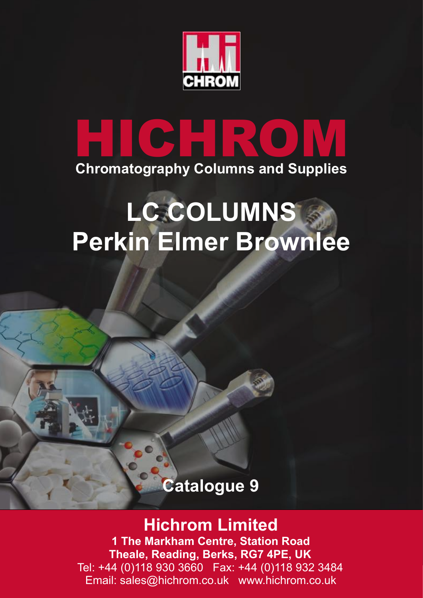

# **HICHROM Chromatography Columns and Supplies**

# **LC COLUMNS Perkin Elmer Brownlee**

## **Catalogue 9**

## **Hichrom Limited**

**1 The Markham Centre, Station Road Theale, Reading, Berks, RG7 4PE, UK** Tel: +44 (0)118 930 3660 Fax: +44 (0)118 932 3484 Email: sales@hichrom.co.uk www.hichrom.co.uk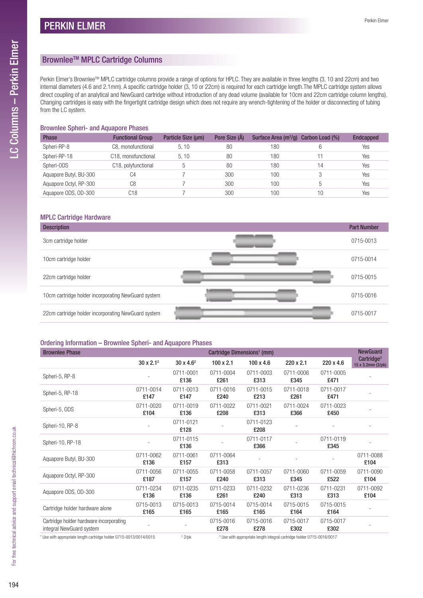### Brownlee™ MPLC Cartridge Columns

Perkin Elmer's Brownlee™ MPLC cartridge columns provide a range of options for HPLC. They are available in three lengths (3, 10 and 22cm) and two internal diameters (4.6 and 2.1mm). A specific cartridge holder (3, 10 or 22cm) is required for each cartridge length.The MPLC cartridge system allows direct coupling of an analytical and NewGuard cartridge without introduction of any dead volume (available for 10cm and 22cm cartridge column lengths). Changing cartridges is easy with the fingertight cartridge design which does not require any wrench-tightening of the holder or disconnecting of tubing from the LC system.

#### Brownlee Spheri- and Aquapore Phases

| <b>Phase</b>           | <b>Functional Group</b>          | Particle Size (um) | Pore Size (Å) | Surface Area (m <sup>2</sup> /g) | Carbon Load (%) | <b>Endcapped</b> |
|------------------------|----------------------------------|--------------------|---------------|----------------------------------|-----------------|------------------|
| Spheri-RP-8            | C8. monofunctional               | 5.10               | 80            | 180                              | 6               | Yes              |
| Spheri-RP-18           | C <sub>18</sub> , monofunctional | 5.10               | 80            | 180                              |                 | Yes              |
| Spheri-ODS             | C18, polyfunctional              | .5                 | 80            | 180                              | 14              | Yes              |
| Aquapore Butyl, BU-300 | C4                               |                    | 300           | 100                              |                 | Yes              |
| Aquapore Octyl, RP-300 | C <sub>8</sub>                   |                    | 300           | 100                              | 5               | Yes              |
| Aguapore ODS, OD-300   | C18                              |                    | 300           | 100                              | 10              | Yes              |

#### MPLC Cartridge Hardware

| <b>Description</b>                                  | <b>Part Number</b> |
|-----------------------------------------------------|--------------------|
| 3cm cartridge holder                                | 0715-0013          |
| 10cm cartridge holder                               | 0715-0014          |
| 22cm cartridge holder                               | 0715-0015          |
| 10cm cartridge holder incorporating NewGuard system | 0715-0016          |
| 22cm cartridge holder incorporating NewGuard system | 0715-0017          |

#### Ordering Information – Brownlee Spheri- and Aquapore Phases

| <b>Brownlee Phase</b>                                                                                                         |                   |                   |                   | Cartridge Dimensions <sup>1</sup> (mm) |                                                                                                                                                                                                                                                                                                                                    |                   | <b>NewGuard</b>                             |
|-------------------------------------------------------------------------------------------------------------------------------|-------------------|-------------------|-------------------|----------------------------------------|------------------------------------------------------------------------------------------------------------------------------------------------------------------------------------------------------------------------------------------------------------------------------------------------------------------------------------|-------------------|---------------------------------------------|
|                                                                                                                               | $30 \times 2.1^2$ | $30 \times 4.6^2$ | $100 \times 2.1$  | $100 \times 4.6$                       | 220 x 2.1                                                                                                                                                                                                                                                                                                                          | 220 x 4.6         | Cartridge <sup>3</sup><br>15 x 3.2mm (3/pk) |
| Spheri-5, RP-8                                                                                                                |                   | 0711-0001<br>£136 | 0711-0004<br>£261 | 0711-0003<br>£313                      | 0711-0006<br>£345                                                                                                                                                                                                                                                                                                                  | 0711-0005<br>£471 |                                             |
| Spheri-5, RP-18                                                                                                               | 0711-0014<br>£147 | 0711-0013<br>£147 | 0711-0016<br>£240 | 0711-0015<br>£213                      | 0711-0018<br>£261                                                                                                                                                                                                                                                                                                                  | 0711-0017<br>£471 |                                             |
| Spheri-5, ODS                                                                                                                 | 0711-0020<br>£104 | 0711-0019<br>£136 | 0711-0022<br>£208 | 0711-0021<br>£313                      | 0711-0024<br>£366                                                                                                                                                                                                                                                                                                                  | 0711-0023<br>£450 |                                             |
| Spheri-10, RP-8                                                                                                               |                   | 0711-0121<br>£128 |                   | 0711-0123<br>£208                      |                                                                                                                                                                                                                                                                                                                                    |                   |                                             |
| Spheri-10, RP-18                                                                                                              |                   | 0711-0115<br>£136 |                   | 0711-0117<br>£366                      |                                                                                                                                                                                                                                                                                                                                    | 0711-0119<br>£345 |                                             |
| Aquapore Butyl, BU-300                                                                                                        | 0711-0062<br>£136 | 0711-0061<br>£157 | 0711-0064<br>£313 |                                        |                                                                                                                                                                                                                                                                                                                                    |                   | 0711-0088<br>£104                           |
| Aquapore Octyl, RP-300                                                                                                        | 0711-0056<br>£187 | 0711-0055<br>£157 | 0711-0058<br>£240 | 0711-0057<br>£313                      | 0711-0060<br>£345                                                                                                                                                                                                                                                                                                                  | 0711-0059<br>£522 | 0711-0090<br>£104                           |
| Aquapore ODS, OD-300                                                                                                          | 0711-0234<br>£136 | 0711-0235<br>£136 | 0711-0233<br>£261 | 0711-0232<br>£240                      | 0711-0236<br>£313                                                                                                                                                                                                                                                                                                                  | 0711-0231<br>£313 | 0711-0092<br>£104                           |
| Cartridge holder hardware alone                                                                                               | 0715-0013<br>£165 | 0715-0013<br>£165 | 0715-0014<br>£165 | 0715-0014<br>£165                      | 0715-0015<br>£164                                                                                                                                                                                                                                                                                                                  | 0715-0015<br>£164 |                                             |
| Cartridge holder hardware incorporating<br>integral NewGuard system                                                           |                   |                   | 0715-0016<br>£278 | 0715-0016<br>£278                      | 0715-0017<br>£302                                                                                                                                                                                                                                                                                                                  | 0715-0017<br>£302 |                                             |
| $\cdots$ $\cdots$ $\cdots$ $\cdots$ $\cdots$ $\cdots$ $\cdots$ $\cdots$ $\cdots$ $\cdots$ $\cdots$ $\cdots$ $\cdots$ $\cdots$ |                   | 0.011             |                   |                                        | $\mathbf{a}$ $\mathbf{b}$ $\mathbf{c}$ $\mathbf{d}$ $\mathbf{c}$ $\mathbf{d}$ $\mathbf{d}$ $\mathbf{d}$ $\mathbf{d}$ $\mathbf{d}$ $\mathbf{d}$ $\mathbf{d}$ $\mathbf{d}$ $\mathbf{d}$ $\mathbf{d}$ $\mathbf{d}$ $\mathbf{d}$ $\mathbf{d}$ $\mathbf{d}$ $\mathbf{d}$ $\mathbf{d}$ $\mathbf{d}$ $\mathbf{d}$ $\mathbf{d}$ $\mathbf{$ |                   |                                             |

<sup>1</sup> Use with appropriate length cartridge holder 0715-0013/0014/0015  $2$ /pk Use with appropriate length integral cartridge holder 0715-0016/0017